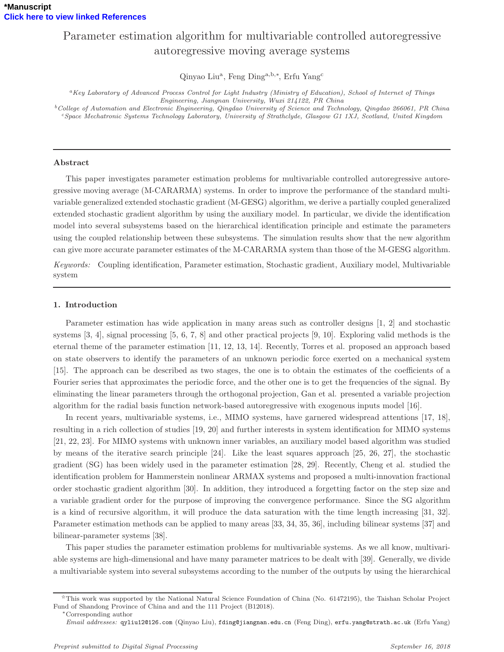# Parameter estimation algorithm for multivariable controlled autoregressive autoregressive moving average systems

Qinyao Liu<sup>a</sup>, Feng Ding<sup>a,b,\*</sup>, Erfu Yang<sup>c</sup>

<sup>a</sup>Key Laboratory of Advanced Process Control for Light Industry (Ministry of Education), School of Internet of Things

Engineering, Jiangnan University, Wuxi 214122, PR China

 $b$ College of Automation and Electronic Engineering, Qingdao University of Science and Technology, Qingdao 266061, PR China <sup>c</sup>Space Mechatronic Systems Technology Laboratory, University of Strathclyde, Glasgow G1 1XJ, Scotland, United Kingdom

## Abstract

This paper investigates parameter estimation problems for multivariable controlled autoregressive autoregressive moving average (M-CARARMA) systems. In order to improve the performance of the standard multivariable generalized extended stochastic gradient (M-GESG) algorithm, we derive a partially coupled generalized extended stochastic gradient algorithm by using the auxiliary model. In particular, we divide the identification model into several subsystems based on the hierarchical identification principle and estimate the parameters using the coupled relationship between these subsystems. The simulation results show that the new algorithm can give more accurate parameter estimates of the M-CARARMA system than those of the M-GESG algorithm.

Keywords: Coupling identification, Parameter estimation, Stochastic gradient, Auxiliary model, Multivariable system

# 1. Introduction

Parameter estimation has wide application in many areas such as controller designs [1, 2] and stochastic systems [3, 4], signal processing [5, 6, 7, 8] and other practical projects [9, 10]. Exploring valid methods is the eternal theme of the parameter estimation [11, 12, 13, 14]. Recently, Torres et al. proposed an approach based on state observers to identify the parameters of an unknown periodic force exerted on a mechanical system [15]. The approach can be described as two stages, the one is to obtain the estimates of the coefficients of a Fourier series that approximates the periodic force, and the other one is to get the frequencies of the signal. By eliminating the linear parameters through the orthogonal projection, Gan et al. presented a variable projection algorithm for the radial basis function network-based autoregressive with exogenous inputs model [16].

In recent years, multivariable systems, i.e., MIMO systems, have garnered widespread attentions [17, 18], resulting in a rich collection of studies [19, 20] and further interests in system identification for MIMO systems [21, 22, 23]. For MIMO systems with unknown inner variables, an auxiliary model based algorithm was studied by means of the iterative search principle [24]. Like the least squares approach [25, 26, 27], the stochastic gradient (SG) has been widely used in the parameter estimation [28, 29]. Recently, Cheng et al. studied the identification problem for Hammerstein nonlinear ARMAX systems and proposed a multi-innovation fractional order stochastic gradient algorithm [30]. In addition, they introduced a forgetting factor on the step size and a variable gradient order for the purpose of improving the convergence performance. Since the SG algorithm is a kind of recursive algorithm, it will produce the data saturation with the time length increasing [31, 32]. Parameter estimation methods can be applied to many areas [33, 34, 35, 36], including bilinear systems [37] and bilinear-parameter systems [38].

This paper studies the parameter estimation problems for multivariable systems. As we all know, multivariable systems are high-dimensional and have many parameter matrices to be dealt with [39]. Generally, we divide a multivariable system into several subsystems according to the number of the outputs by using the hierarchical

<sup>✩</sup>This work was supported by the National Natural Science Foundation of China (No. 61472195), the Taishan Scholar Project Fund of Shandong Province of China and and the 111 Project (B12018).

<sup>∗</sup>Corresponding author

Email addresses: qyliu12@126.com (Qinyao Liu), fding@jiangnan.edu.cn (Feng Ding), erfu.yang@strath.ac.uk (Erfu Yang)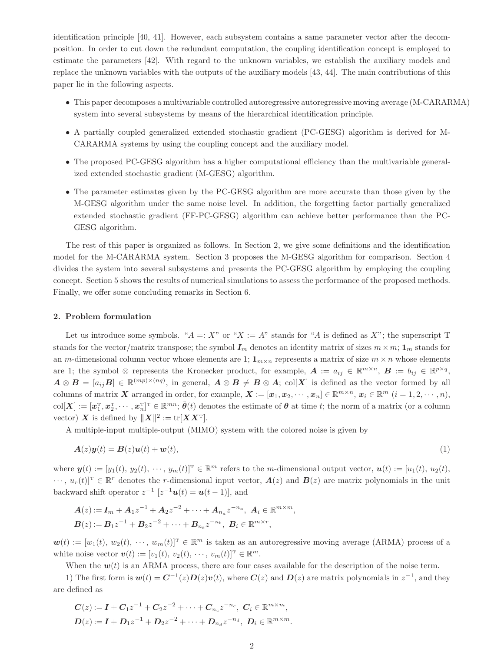identification principle [40, 41]. However, each subsystem contains a same parameter vector after the decomposition. In order to cut down the redundant computation, the coupling identification concept is employed to estimate the parameters [42]. With regard to the unknown variables, we establish the auxiliary models and replace the unknown variables with the outputs of the auxiliary models [43, 44]. The main contributions of this paper lie in the following aspects.

- This paper decomposes a multivariable controlled autoregressive autoregressive moving average (M-CARARMA) system into several subsystems by means of the hierarchical identification principle.
- A partially coupled generalized extended stochastic gradient (PC-GESG) algorithm is derived for M-CARARMA systems by using the coupling concept and the auxiliary model.
- The proposed PC-GESG algorithm has a higher computational efficiency than the multivariable generalized extended stochastic gradient (M-GESG) algorithm.
- The parameter estimates given by the PC-GESG algorithm are more accurate than those given by the M-GESG algorithm under the same noise level. In addition, the forgetting factor partially generalized extended stochastic gradient (FF-PC-GESG) algorithm can achieve better performance than the PC-GESG algorithm.

The rest of this paper is organized as follows. In Section 2, we give some definitions and the identification model for the M-CARARMA system. Section 3 proposes the M-GESG algorithm for comparison. Section 4 divides the system into several subsystems and presents the PC-GESG algorithm by employing the coupling concept. Section 5 shows the results of numerical simulations to assess the performance of the proposed methods. Finally, we offer some concluding remarks in Section 6.

#### 2. Problem formulation

Let us introduce some symbols. " $A =: X$ " or " $X := A$ " stands for "A is defined as X"; the superscript T stands for the vector/matrix transpose; the symbol  $I_m$  denotes an identity matrix of sizes  $m \times m$ ;  $\mathbf{1}_m$  stands for an m-dimensional column vector whose elements are 1;  $\mathbf{1}_{m \times n}$  represents a matrix of size  $m \times n$  whose elements are 1; the symbol  $\otimes$  represents the Kronecker product, for example,  $\mathbf{A} := a_{ij} \in \mathbb{R}^{m \times n}$ ,  $\mathbf{B} := b_{ij} \in \mathbb{R}^{p \times q}$ ,  $A \otimes B = [a_{ij}B] \in \mathbb{R}^{(mp)\times(nq)}$ , in general,  $A \otimes B \neq B \otimes A$ ; col[X] is defined as the vector formed by all columns of matrix X arranged in order, for example,  $X := [x_1, x_2, \dots, x_n] \in \mathbb{R}^{m \times n}$ ,  $x_i \in \mathbb{R}^m$   $(i = 1, 2, \dots, n)$ ,  $\text{col}[\bm{X}] := [\bm{x}_1^{\scriptscriptstyle{\text{T}}}, \bm{x}_2^{\scriptscriptstyle{\text{T}}}, \cdots, \bm{x}_n^{\scriptscriptstyle{\text{T}}}]^{\scriptscriptstyle{\text{T}}} \in \mathbb{R}^{mn}$ ;  $\hat{\bm{\theta}}(t)$  denotes the estimate of  $\bm{\theta}$  at time t; the norm of a matrix (or a column vector) X is defined by  $||X||^2 := \text{tr}[XX^T]$ .

A multiple-input multiple-output (MIMO) system with the colored noise is given by

$$
\mathbf{A}(z)\mathbf{y}(t) = \mathbf{B}(z)\mathbf{u}(t) + \mathbf{w}(t),\tag{1}
$$

where  $\mathbf{y}(t) := [y_1(t), y_2(t), \dots, y_m(t)]^T \in \mathbb{R}^m$  refers to the m-dimensional output vector,  $\mathbf{u}(t) := [u_1(t), u_2(t), \dots, u_m(t)]^T$  $\cdots, u_r(t)$ <sup>T</sup>  $\in \mathbb{R}^r$  denotes the r-dimensional input vector,  $A(z)$  and  $B(z)$  are matrix polynomials in the unit backward shift operator  $z^{-1}$   $[z^{-1}u(t) = u(t-1)]$ , and

$$
A(z) := I_m + A_1 z^{-1} + A_2 z^{-2} + \cdots + A_{n_a} z^{-n_a}, \ A_i \in \mathbb{R}^{m \times m},
$$
  

$$
B(z) := B_1 z^{-1} + B_2 z^{-2} + \cdots + B_{n_b} z^{-n_b}, \ B_i \in \mathbb{R}^{m \times r},
$$

 $\mathbf{w}(t) := [w_1(t), w_2(t), \dots, w_m(t)]^{\text{T}} \in \mathbb{R}^m$  is taken as an autoregressive moving average (ARMA) process of a white noise vector  $\mathbf{v}(t) := [v_1(t), v_2(t), \cdots, v_m(t)]^T \in \mathbb{R}^m$ .

When the  $w(t)$  is an ARMA process, there are four cases available for the description of the noise term.

1) The first form is  $w(t) = C^{-1}(z)D(z)v(t)$ , where  $C(z)$  and  $D(z)$  are matrix polynomials in  $z^{-1}$ , and they are defined as

$$
C(z) := I + C_1 z^{-1} + C_2 z^{-2} + \cdots + C_{n_c} z^{-n_c}, \ C_i \in \mathbb{R}^{m \times m},
$$
  

$$
D(z) := I + D_1 z^{-1} + D_2 z^{-2} + \cdots + D_{n_d} z^{-n_d}, \ D_i \in \mathbb{R}^{m \times m}.
$$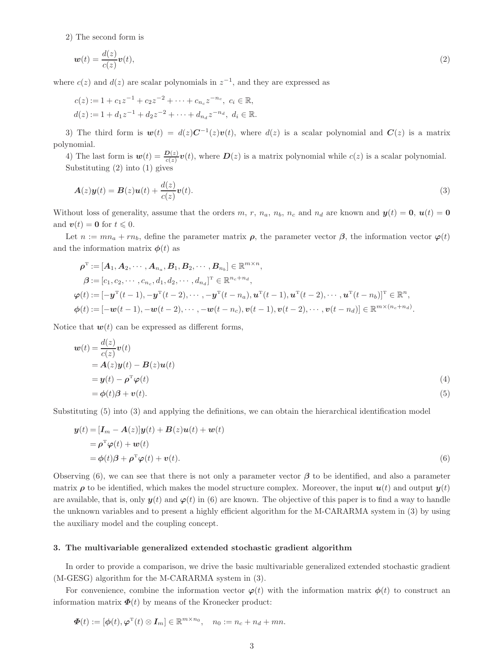2) The second form is

$$
\mathbf{w}(t) = \frac{d(z)}{c(z)} \mathbf{v}(t),\tag{2}
$$

where  $c(z)$  and  $d(z)$  are scalar polynomials in  $z^{-1}$ , and they are expressed as

$$
c(z) := 1 + c_1 z^{-1} + c_2 z^{-2} + \dots + c_{n_c} z^{-n_c}, \quad c_i \in \mathbb{R},
$$
  
\n
$$
d(z) := 1 + d_1 z^{-1} + d_2 z^{-2} + \dots + d_{n_d} z^{-n_d}, \quad d_i \in \mathbb{R}.
$$

3) The third form is  $w(t) = d(z)C^{-1}(z)v(t)$ , where  $d(z)$  is a scalar polynomial and  $C(z)$  is a matrix polynomial.

4) The last form is  $w(t) = \frac{D(z)}{c(z)}v(t)$ , where  $D(z)$  is a matrix polynomial while  $c(z)$  is a scalar polynomial. Substituting (2) into (1) gives

$$
\mathbf{A}(z)\mathbf{y}(t) = \mathbf{B}(z)\mathbf{u}(t) + \frac{d(z)}{c(z)}\mathbf{v}(t). \tag{3}
$$

Without loss of generality, assume that the orders m, r,  $n_a$ ,  $n_b$ ,  $n_c$  and  $n_d$  are known and  $y(t) = 0$ ,  $u(t) = 0$ and  $v(t) = 0$  for  $t \leq 0$ .

Let  $n := mn_a + rn_b$ , define the parameter matrix  $\rho$ , the parameter vector  $\beta$ , the information vector  $\varphi(t)$ and the information matrix  $\phi(t)$  as

$$
\rho^{\mathrm{T}} := [A_1, A_2, \cdots, A_{n_a}, B_1, B_2, \cdots, B_{n_b}] \in \mathbb{R}^{m \times n},
$$
  
\n
$$
\beta := [c_1, c_2, \cdots, c_{n_c}, d_1, d_2, \cdots, d_{n_d}]^{\mathrm{T}} \in \mathbb{R}^{n_c + n_d},
$$
  
\n
$$
\varphi(t) := [-\mathbf{y}^{\mathrm{T}}(t-1), -\mathbf{y}^{\mathrm{T}}(t-2), \cdots, -\mathbf{y}^{\mathrm{T}}(t-n_a), \mathbf{u}^{\mathrm{T}}(t-1), \mathbf{u}^{\mathrm{T}}(t-2), \cdots, \mathbf{u}^{\mathrm{T}}(t-n_b)]^{\mathrm{T}} \in \mathbb{R}^n,
$$
  
\n
$$
\phi(t) := [-\mathbf{w}(t-1), -\mathbf{w}(t-2), \cdots, -\mathbf{w}(t-n_c), \mathbf{v}(t-1), \mathbf{v}(t-2), \cdots, \mathbf{v}(t-n_d)] \in \mathbb{R}^{m \times (n_c + n_d)}.
$$

Notice that  $w(t)$  can be expressed as different forms,

$$
\mathbf{w}(t) = \frac{d(z)}{c(z)} \mathbf{v}(t)
$$
  
=  $\mathbf{A}(z)\mathbf{y}(t) - \mathbf{B}(z)\mathbf{u}(t)$   
=  $\mathbf{y}(t) - \rho^{\mathrm{T}}\varphi(t)$   
=  $\phi(t)\beta + \mathbf{v}(t)$ . (4)

Substituting (5) into (3) and applying the definitions, we can obtain the hierarchical identification model

$$
\mathbf{y}(t) = [\mathbf{I}_m - \mathbf{A}(z)]\mathbf{y}(t) + \mathbf{B}(z)\mathbf{u}(t) + \mathbf{w}(t)
$$
  
=  $\rho^{\mathrm{T}}\varphi(t) + \mathbf{w}(t)$   
=  $\phi(t)\beta + \rho^{\mathrm{T}}\varphi(t) + \mathbf{v}(t).$  (6)

Observing (6), we can see that there is not only a parameter vector  $\beta$  to be identified, and also a parameter matrix  $\rho$  to be identified, which makes the model structure complex. Moreover, the input  $u(t)$  and output  $y(t)$ are available, that is, only  $y(t)$  and  $\varphi(t)$  in (6) are known. The objective of this paper is to find a way to handle the unknown variables and to present a highly efficient algorithm for the M-CARARMA system in (3) by using the auxiliary model and the coupling concept.

#### 3. The multivariable generalized extended stochastic gradient algorithm

In order to provide a comparison, we drive the basic multivariable generalized extended stochastic gradient (M-GESG) algorithm for the M-CARARMA system in (3).

For convenience, combine the information vector  $\varphi(t)$  with the information matrix  $\phi(t)$  to construct an information matrix  $\boldsymbol{\Phi}(t)$  by means of the Kronecker product:

$$
\boldsymbol{\Phi}(t) := [\boldsymbol{\phi}(t), \boldsymbol{\varphi}^{\mathrm{T}}(t) \otimes \boldsymbol{I}_m] \in \mathbb{R}^{m \times n_0}, \quad n_0 := n_c + n_d + mn.
$$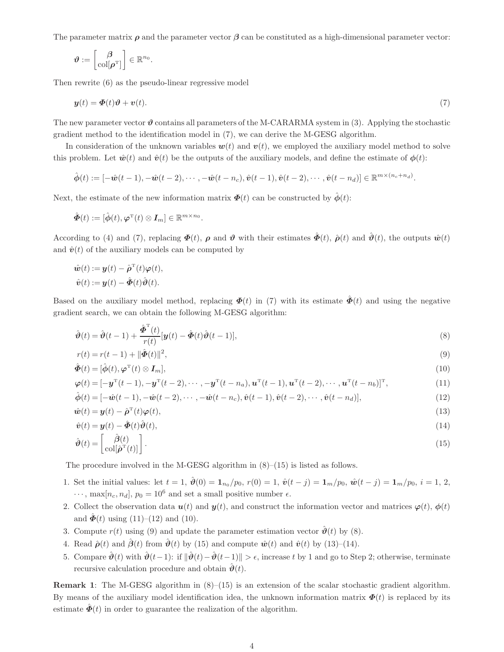The parameter matrix  $\rho$  and the parameter vector  $\beta$  can be constituted as a high-dimensional parameter vector:

$$
\boldsymbol{\vartheta} := \begin{bmatrix} \boldsymbol{\beta} \\ \mathrm{col}[\boldsymbol{\rho}^{\mathrm{T}}] \end{bmatrix} \in \mathbb{R}^{n_0}.
$$

Then rewrite (6) as the pseudo-linear regressive model

$$
\mathbf{y}(t) = \mathbf{\Phi}(t)\mathbf{\vartheta} + \mathbf{v}(t). \tag{7}
$$

The new parameter vector  $\vartheta$  contains all parameters of the M-CARARMA system in (3). Applying the stochastic gradient method to the identification model in (7), we can derive the M-GESG algorithm.

In consideration of the unknown variables  $w(t)$  and  $v(t)$ , we employed the auxiliary model method to solve this problem. Let  $\hat{\boldsymbol{w}}(t)$  and  $\hat{\boldsymbol{v}}(t)$  be the outputs of the auxiliary models, and define the estimate of  $\phi(t)$ :

$$
\hat{\boldsymbol{\phi}}(t) := [-\hat{\boldsymbol{w}}(t-1), -\hat{\boldsymbol{w}}(t-2), \cdots, -\hat{\boldsymbol{w}}(t-n_c), \hat{\boldsymbol{v}}(t-1), \hat{\boldsymbol{v}}(t-2), \cdots, \hat{\boldsymbol{v}}(t-n_d)] \in \mathbb{R}^{m \times (n_c+n_d)}.
$$

Next, the estimate of the new information matrix  $\boldsymbol{\Phi}(t)$  can be constructed by  $\hat{\boldsymbol{\phi}}(t)$ :

$$
\hat{\boldsymbol{\Phi}}(t):=[\hat{\boldsymbol{\phi}}(t),\boldsymbol{\varphi}^{\mathrm{T}}(t)\otimes\boldsymbol{I}_m]\in\mathbb{R}^{m\times n_0}.
$$

According to (4) and (7), replacing  $\Phi(t)$ ,  $\rho$  and  $\vartheta$  with their estimates  $\tilde{\Phi}(t)$ ,  $\tilde{\rho}(t)$  and  $\tilde{\vartheta}(t)$ , the outputs  $\hat{w}(t)$ and  $\hat{v}(t)$  of the auxiliary models can be computed by

$$
\hat{\boldsymbol{w}}(t) := \boldsymbol{y}(t) - \hat{\boldsymbol{\rho}}^{\mathrm{T}}(t)\boldsymbol{\varphi}(t),
$$
  

$$
\hat{\boldsymbol{v}}(t) := \boldsymbol{y}(t) - \hat{\boldsymbol{\Phi}}(t)\hat{\boldsymbol{\vartheta}}(t).
$$

Based on the auxiliary model method, replacing  $\Phi(t)$  in (7) with its estimate  $\tilde{\Phi}(t)$  and using the negative gradient search, we can obtain the following M-GESG algorithm:

$$
\hat{\boldsymbol{\vartheta}}(t) = \hat{\boldsymbol{\vartheta}}(t-1) + \frac{\hat{\boldsymbol{\varPhi}}^{\mathrm{T}}(t)}{r(t)}[\boldsymbol{y}(t) - \hat{\boldsymbol{\varPhi}}(t)\hat{\boldsymbol{\vartheta}}(t-1)],\tag{8}
$$

$$
r(t) = r(t-1) + ||\hat{\boldsymbol{\Phi}}(t)||^2,
$$
\n(9)

$$
\hat{\boldsymbol{\Phi}}(t) = [\hat{\boldsymbol{\phi}}(t), \boldsymbol{\varphi}^{\mathrm{T}}(t) \otimes \boldsymbol{I}_{m}], \tag{10}
$$

$$
\boldsymbol{\varphi}(t) = [-\mathbf{y}^{\mathrm{T}}(t-1), -\mathbf{y}^{\mathrm{T}}(t-2), \cdots, -\mathbf{y}^{\mathrm{T}}(t-n_a), \mathbf{u}^{\mathrm{T}}(t-1), \mathbf{u}^{\mathrm{T}}(t-2), \cdots, \mathbf{u}^{\mathrm{T}}(t-n_b)]^{\mathrm{T}}, \tag{11}
$$

$$
\hat{\boldsymbol{\phi}}(t) = [-\hat{\boldsymbol{w}}(t-1), -\hat{\boldsymbol{w}}(t-2), \cdots, -\hat{\boldsymbol{w}}(t-n_c), \hat{\boldsymbol{v}}(t-1), \hat{\boldsymbol{v}}(t-2), \cdots, \hat{\boldsymbol{v}}(t-n_d)],
$$
\n(12)

$$
\hat{\mathbf{w}}(t) = \mathbf{y}(t) - \hat{\boldsymbol{\rho}}^{\mathrm{T}}(t)\boldsymbol{\varphi}(t),
$$
\n
$$
\hat{\mathbf{w}}(t) = \mathbf{w}(t) - \hat{\mathbf{\Phi}}(t)\hat{\mathbf{\Phi}}(t)
$$
\n(13)

$$
\hat{\mathbf{p}}(t) = \mathbf{g}(t) - \mathbf{\Psi}(t)\mathbf{v}(t),\tag{14}
$$
\n
$$
\hat{\mathbf{q}}(t) = \begin{bmatrix} \hat{\boldsymbol{\beta}}(t) \\ 0 \end{bmatrix} \tag{15}
$$

$$
\hat{\boldsymbol{\vartheta}}(t) = \begin{bmatrix} \hat{\boldsymbol{\beta}}(t) \\ \mathrm{col}[\hat{\boldsymbol{\rho}}^{\mathrm{T}}(t)] \end{bmatrix} . \tag{15}
$$

The procedure involved in the M-GESG algorithm in  $(8)-(15)$  is listed as follows.

- 1. Set the initial values: let  $t = 1$ ,  $\hat{\theta}(0) = \mathbf{1}_{n_0}/p_0$ ,  $r(0) = 1$ ,  $\hat{\mathbf{v}}(t j) = \mathbf{1}_m/p_0$ ,  $\hat{\mathbf{w}}(t j) = \mathbf{1}_m/p_0$ ,  $i = 1, 2$ ,  $\cdots$ , max $[n_c, n_d]$ ,  $p_0 = 10^6$  and set a small positive number  $\epsilon$ .
- 2. Collect the observation data  $u(t)$  and  $y(t)$ , and construct the information vector and matrices  $\varphi(t)$ ,  $\phi(t)$ and  $\tilde{\Phi}(t)$  using  $(11)–(12)$  and  $(10)$ .
- 3. Compute  $r(t)$  using (9) and update the parameter estimation vector  $\hat{\boldsymbol{\theta}}(t)$  by (8).
- 4. Read  $\hat{\rho}(t)$  and  $\hat{\beta}(t)$  from  $\hat{\theta}(t)$  by (15) and compute  $\hat{w}(t)$  and  $\hat{v}(t)$  by (13)–(14).
- 5. Compare  $\hat{\boldsymbol{\vartheta}}(t)$  with  $\hat{\boldsymbol{\vartheta}}(t-1)$ : if  $\|\hat{\boldsymbol{\vartheta}}(t)-\hat{\boldsymbol{\vartheta}}(t-1)\| > \epsilon$ , increase t by 1 and go to Step 2; otherwise, terminate recursive calculation procedure and obtain  $\hat{\boldsymbol{\theta}}(t)$ .

**Remark 1:** The M-GESG algorithm in  $(8)-(15)$  is an extension of the scalar stochastic gradient algorithm. By means of the auxiliary model identification idea, the unknown information matrix  $\Phi(t)$  is replaced by its estimate  $\hat{\Phi}(t)$  in order to guarantee the realization of the algorithm.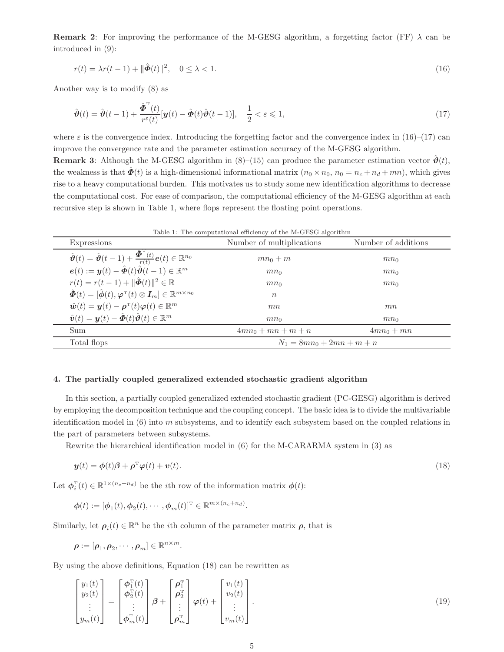**Remark 2:** For improving the performance of the M-GESG algorithm, a forgetting factor (FF)  $\lambda$  can be introduced in (9):

$$
r(t) = \lambda r(t-1) + ||\hat{\mathbf{\Phi}}(t)||^2, \quad 0 \le \lambda < 1.
$$
 (16)

Another way is to modify (8) as

$$
\hat{\boldsymbol{\vartheta}}(t) = \hat{\boldsymbol{\vartheta}}(t-1) + \frac{\hat{\boldsymbol{\varPhi}}^{\mathrm{T}}(t)}{r^{\varepsilon}(t)}[\boldsymbol{y}(t) - \hat{\boldsymbol{\varPhi}}(t)\hat{\boldsymbol{\vartheta}}(t-1)], \quad \frac{1}{2} < \varepsilon \leqslant 1,\tag{17}
$$

where  $\varepsilon$  is the convergence index. Introducing the forgetting factor and the convergence index in (16)–(17) can improve the convergence rate and the parameter estimation accuracy of the M-GESG algorithm.

**Remark 3:** Although the M-GESG algorithm in (8)–(15) can produce the parameter estimation vector  $\hat{\boldsymbol{\theta}}(t)$ , the weakness is that  $\hat{\Phi}(t)$  is a high-dimensional informational matrix  $(n_0 \times n_0, n_0 = n_c + n_d + mn)$ , which gives rise to a heavy computational burden. This motivates us to study some new identification algorithms to decrease the computational cost. For ease of comparison, the computational efficiency of the M-GESG algorithm at each recursive step is shown in Table 1, where flops represent the floating point operations.

| Table 1: The computational efficiency of the M-GESG algorithm                                                                                                          |                             |                     |  |  |  |  |  |  |  |
|------------------------------------------------------------------------------------------------------------------------------------------------------------------------|-----------------------------|---------------------|--|--|--|--|--|--|--|
| Expressions                                                                                                                                                            | Number of multiplications   | Number of additions |  |  |  |  |  |  |  |
| $\hat{\boldsymbol{\vartheta}}(t) = \hat{\boldsymbol{\vartheta}}(t-1) + \frac{\hat{\boldsymbol{\varPhi}}^{\mathrm{T}}(t)}{r(t)} \boldsymbol{e}(t) \in \mathbb{R}^{n_0}$ | $mn_0 + m$                  | $mn_0$              |  |  |  |  |  |  |  |
| $\mathbf{e}(t) := \mathbf{y}(t) - \hat{\mathbf{\Phi}}(t)\hat{\mathbf{\theta}}(t-1) \in \mathbb{R}^m$                                                                   | $mn_0$                      | $mn_0$              |  |  |  |  |  |  |  |
| $r(t) = r(t-1) +   \hat{\mathbf{\Phi}}(t)  ^2 \in \mathbb{R}$                                                                                                          | $mn_0$                      | $mn_0$              |  |  |  |  |  |  |  |
| $\hat{\boldsymbol{\Phi}}(t) = [\hat{\boldsymbol{\phi}}(t), \boldsymbol{\varphi}^{\mathrm{T}}(t) \otimes \boldsymbol{I}_{m}] \in \mathbb{R}^{m \times n_{0}}$           | $\boldsymbol{n}$            |                     |  |  |  |  |  |  |  |
| $\hat{\boldsymbol{w}}(t) = \boldsymbol{y}(t) - \boldsymbol{\rho}^{\mathrm{T}}(t)\boldsymbol{\varphi}(t) \in \mathbb{R}^m$                                              | mn                          | mn                  |  |  |  |  |  |  |  |
| $\hat{\boldsymbol{v}}(t) = \boldsymbol{y}(t) - \hat{\boldsymbol{\Phi}}(t)\hat{\boldsymbol{\vartheta}}(t) \in \mathbb{R}^m$                                             | $mn_0$                      | $mn_0$              |  |  |  |  |  |  |  |
| Sum                                                                                                                                                                    | $4mn_0 + mn + m + n$        | $4mn_0 + mn$        |  |  |  |  |  |  |  |
| Total flops                                                                                                                                                            | $N_1 = 8mn_0 + 2mn + m + n$ |                     |  |  |  |  |  |  |  |

#### 4. The partially coupled generalized extended stochastic gradient algorithm

In this section, a partially coupled generalized extended stochastic gradient (PC-GESG) algorithm is derived by employing the decomposition technique and the coupling concept. The basic idea is to divide the multivariable identification model in  $(6)$  into m subsystems, and to identify each subsystem based on the coupled relations in the part of parameters between subsystems.

Rewrite the hierarchical identification model in (6) for the M-CARARMA system in (3) as

$$
\mathbf{y}(t) = \boldsymbol{\phi}(t)\boldsymbol{\beta} + \boldsymbol{\rho}^{\mathrm{T}}\boldsymbol{\varphi}(t) + \mathbf{v}(t). \tag{18}
$$

Let  $\phi_i^{\mathrm{T}}(t) \in \mathbb{R}^{1 \times (n_c + n_d)}$  be the *i*th row of the information matrix  $\phi(t)$ :

$$
\boldsymbol{\phi}(t) := [\boldsymbol{\phi}_1(t), \boldsymbol{\phi}_2(t), \cdots, \boldsymbol{\phi}_m(t)]^{\mathrm{T}} \in \mathbb{R}^{m \times (n_c + n_d)}.
$$

Similarly, let  $\rho_i(t) \in \mathbb{R}^n$  be the *i*th column of the parameter matrix  $\rho$ , that is

$$
\boldsymbol{\rho} := [\boldsymbol{\rho}_1, \boldsymbol{\rho}_2, \cdots, \boldsymbol{\rho}_m] \in \mathbb{R}^{n \times m}.
$$

By using the above definitions, Equation (18) can be rewritten as

$$
\begin{bmatrix} y_1(t) \\ y_2(t) \\ \vdots \\ y_m(t) \end{bmatrix} = \begin{bmatrix} \phi_1^{\mathrm{T}}(t) \\ \phi_2^{\mathrm{T}}(t) \\ \vdots \\ \phi_m^{\mathrm{T}}(t) \end{bmatrix} \beta + \begin{bmatrix} \rho_1^{\mathrm{T}} \\ \rho_2^{\mathrm{T}} \\ \vdots \\ \rho_m^{\mathrm{T}} \end{bmatrix} \varphi(t) + \begin{bmatrix} v_1(t) \\ v_2(t) \\ \vdots \\ v_m(t) \end{bmatrix} . \tag{19}
$$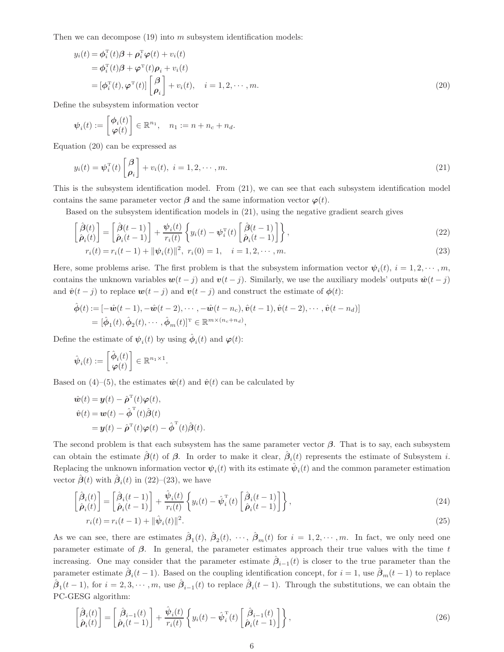Then we can decompose  $(19)$  into m subsystem identification models:

$$
y_i(t) = \phi_i^{\mathrm{T}}(t)\beta + \rho_i^{\mathrm{T}}\varphi(t) + v_i(t)
$$
  
\n
$$
= \phi_i^{\mathrm{T}}(t)\beta + \varphi^{\mathrm{T}}(t)\rho_i + v_i(t)
$$
  
\n
$$
= [\phi_i^{\mathrm{T}}(t), \varphi^{\mathrm{T}}(t)] \begin{bmatrix} \beta \\ \rho_i \end{bmatrix} + v_i(t), \quad i = 1, 2, \cdots, m.
$$
 (20)

Define the subsystem information vector

$$
\boldsymbol{\psi}_i(t) := \begin{bmatrix} \boldsymbol{\phi}_i(t) \\ \boldsymbol{\varphi}(t) \end{bmatrix} \in \mathbb{R}^{n_1}, \quad n_1 := n + n_c + n_d.
$$

Equation (20) can be expressed as

$$
y_i(t) = \boldsymbol{\psi}_i^{\mathrm{T}}(t) \begin{bmatrix} \boldsymbol{\beta} \\ \boldsymbol{\rho}_i \end{bmatrix} + v_i(t), \ i = 1, 2, \cdots, m. \tag{21}
$$

This is the subsystem identification model. From (21), we can see that each subsystem identification model contains the same parameter vector  $\beta$  and the same information vector  $\varphi(t)$ .

Based on the subsystem identification models in (21), using the negative gradient search gives

$$
\begin{bmatrix}\n\hat{\beta}(t) \\
\hat{\rho}_i(t)\n\end{bmatrix} = \begin{bmatrix}\n\hat{\beta}(t-1) \\
\hat{\rho}_i(t-1)\n\end{bmatrix} + \frac{\psi_i(t)}{r_i(t)} \left\{ y_i(t) - \psi_i^{\mathrm{T}}(t) \begin{bmatrix} \hat{\beta}(t-1) \\
\hat{\rho}_i(t-1)\n\end{bmatrix} \right\},
$$
\n(22)

$$
r_i(t) = r_i(t-1) + ||\psi_i(t)||^2, \ r_i(0) = 1, \quad i = 1, 2, \cdots, m. \tag{23}
$$

Here, some problems arise. The first problem is that the subsystem information vector  $\psi_i(t)$ ,  $i = 1, 2, \dots, m$ , contains the unknown variables  $w(t - j)$  and  $v(t - j)$ . Similarly, we use the auxiliary models' outputs  $\hat{w}(t - j)$ and  $\hat{\mathbf{v}}(t - j)$  to replace  $\mathbf{w}(t - j)$  and  $\mathbf{v}(t - j)$  and construct the estimate of  $\phi(t)$ :

$$
\hat{\boldsymbol{\phi}}(t) := [-\hat{\boldsymbol{w}}(t-1), -\hat{\boldsymbol{w}}(t-2), \cdots, -\hat{\boldsymbol{w}}(t-n_c), \hat{\boldsymbol{v}}(t-1), \hat{\boldsymbol{v}}(t-2), \cdots, \hat{\boldsymbol{v}}(t-n_d)]
$$
\n
$$
= [\hat{\boldsymbol{\phi}}_1(t), \hat{\boldsymbol{\phi}}_2(t), \cdots, \hat{\boldsymbol{\phi}}_m(t)]^{\mathrm{T}} \in \mathbb{R}^{m \times (n_c + n_d)},
$$

Define the estimate of  $\psi_i(t)$  by using  $\hat{\phi}_i(t)$  and  $\varphi(t)$ :

$$
\hat{\boldsymbol{\psi}}_i(t):=\left[\begin{matrix}\hat{\boldsymbol{\phi}}_i(t)\\ \boldsymbol{\varphi}(t)\end{matrix}\right]\in\mathbb{R}^{n_1\times 1}
$$

Based on (4)–(5), the estimates  $\hat{w}(t)$  and  $\hat{v}(t)$  can be calculated by

.

$$
\hat{\boldsymbol{w}}(t) = \boldsymbol{y}(t) - \hat{\boldsymbol{\rho}}^{\mathrm{T}}(t)\boldsymbol{\varphi}(t), \n\hat{\boldsymbol{v}}(t) = \boldsymbol{w}(t) - \hat{\boldsymbol{\phi}}^{\mathrm{T}}(t)\hat{\boldsymbol{\beta}}(t) \n= \boldsymbol{y}(t) - \hat{\boldsymbol{\rho}}^{\mathrm{T}}(t)\boldsymbol{\varphi}(t) - \hat{\boldsymbol{\phi}}^{\mathrm{T}}(t)\hat{\boldsymbol{\beta}}(t).
$$

The second problem is that each subsystem has the same parameter vector  $\beta$ . That is to say, each subsystem can obtain the estimate  $\hat{\boldsymbol{\beta}}(t)$  of  $\boldsymbol{\beta}$ . In order to make it clear,  $\hat{\boldsymbol{\beta}}_i(t)$  represents the estimate of Subsystem *i*. Replacing the unknown information vector  $\psi_i(t)$  with its estimate  $\hat{\psi}_i(t)$  and the common parameter estimation vector  $\hat{\boldsymbol{\beta}}(t)$  with  $\hat{\boldsymbol{\beta}}_i(t)$  in (22)–(23), we have

$$
\begin{bmatrix}\n\hat{\beta}_i(t) \\
\hat{\rho}_i(t)\n\end{bmatrix} = \begin{bmatrix}\n\hat{\beta}_i(t-1) \\
\hat{\rho}_i(t-1)\n\end{bmatrix} + \frac{\hat{\psi}_i(t)}{r_i(t)} \left\{ y_i(t) - \hat{\psi}_i^{\mathrm{T}}(t) \begin{bmatrix} \hat{\beta}_i(t-1) \\
\hat{\rho}_i(t-1) \end{bmatrix} \right\},
$$
\n(24)\n
$$
r_i(t) = r_i(t-1) + \|\hat{\psi}_i(t)\|^2.
$$

As we can see, there are estimates  $\hat{\boldsymbol{\beta}}_1(t)$ ,  $\hat{\boldsymbol{\beta}}_2(t)$ ,  $\cdots$ ,  $\hat{\boldsymbol{\beta}}_m(t)$  for  $i = 1, 2, \cdots, m$ . In fact, we only need one parameter estimate of  $\beta$ . In general, the parameter estimates approach their true values with the time t increasing. One may consider that the parameter estimate  $\hat{\beta}_{i-1}(t)$  is closer to the true parameter than the parameter estimate  $\hat{\beta}_i(t-1)$ . Based on the coupling identification concept, for  $i=1$ , use  $\hat{\beta}_m(t-1)$  to replace  $\hat{\boldsymbol{\beta}}_1(t-1)$ , for  $i=2,3,\cdots,m$ , use  $\hat{\boldsymbol{\beta}}_{i-1}(t)$  to replace  $\hat{\boldsymbol{\beta}}_i(t-1)$ . Through the substitutions, we can obtain the PC-GESG algorithm:

$$
\begin{bmatrix}\n\hat{\boldsymbol{\beta}}_i(t) \\
\hat{\boldsymbol{\rho}}_i(t)\n\end{bmatrix} = \begin{bmatrix}\n\hat{\boldsymbol{\beta}}_{i-1}(t) \\
\hat{\boldsymbol{\rho}}_i(t-1)\n\end{bmatrix} + \frac{\hat{\boldsymbol{\psi}}_i(t)}{r_i(t)} \left\{ y_i(t) - \hat{\boldsymbol{\psi}}_i^{\mathrm{T}}(t) \begin{bmatrix} \hat{\boldsymbol{\beta}}_{i-1}(t) \\
\hat{\boldsymbol{\rho}}_i(t-1)\n\end{bmatrix} \right\},
$$
\n(26)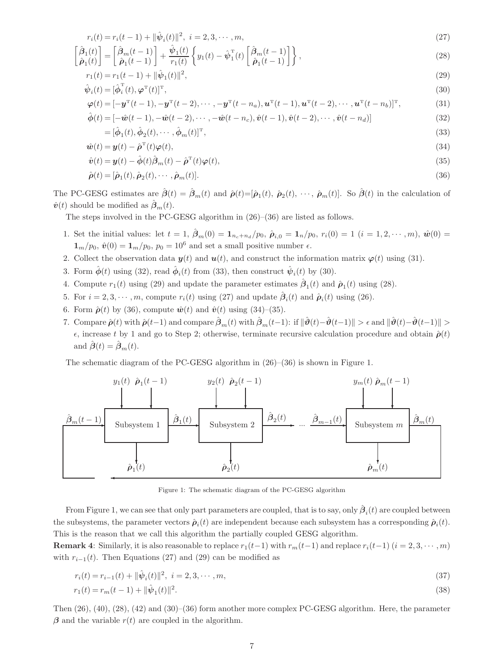$$
r_i(t) = r_i(t-1) + ||\hat{\psi}_i(t)||^2, \ i = 2, 3, \cdots, m,
$$
\n(27)

$$
\begin{bmatrix}\n\hat{\boldsymbol{\beta}}_1(t) \\
\hat{\boldsymbol{\rho}}_1(t)\n\end{bmatrix} = \begin{bmatrix}\n\hat{\boldsymbol{\beta}}_m(t-1) \\
\hat{\boldsymbol{\rho}}_1(t-1)\n\end{bmatrix} + \frac{\hat{\boldsymbol{\psi}}_1(t)}{r_1(t)} \left\{ y_1(t) - \hat{\boldsymbol{\psi}}_1^{\mathrm{T}}(t) \begin{bmatrix} \hat{\boldsymbol{\beta}}_m(t-1) \\
\hat{\boldsymbol{\rho}}_1(t-1)\n\end{bmatrix} \right\},
$$
\n(28)

$$
r_1(t) = r_1(t-1) + ||\hat{\psi}_1(t)||^2,\tag{29}
$$

$$
\hat{\boldsymbol{\psi}}_i(t) = [\hat{\boldsymbol{\phi}}_i^{\mathrm{T}}(t), \boldsymbol{\varphi}^{\mathrm{T}}(t)]^{\mathrm{T}},\tag{30}
$$

$$
\boldsymbol{\varphi}(t) = [-\boldsymbol{y}^{\mathrm{T}}(t-1), -\boldsymbol{y}^{\mathrm{T}}(t-2), \cdots, -\boldsymbol{y}^{\mathrm{T}}(t-n_a), \boldsymbol{u}^{\mathrm{T}}(t-1), \boldsymbol{u}^{\mathrm{T}}(t-2), \cdots, \boldsymbol{u}^{\mathrm{T}}(t-n_b)]^{\mathrm{T}},
$$
\n(31)

$$
\hat{\boldsymbol{\phi}}(t) = [-\hat{\boldsymbol{w}}(t-1), -\hat{\boldsymbol{w}}(t-2), \cdots, -\hat{\boldsymbol{w}}(t-n_c), \hat{\boldsymbol{v}}(t-1), \hat{\boldsymbol{v}}(t-2), \cdots, \hat{\boldsymbol{v}}(t-n_d)]
$$
\n(32)

$$
= [\hat{\phi}_1(t), \hat{\phi}_2(t), \cdots, \hat{\phi}_m(t)]^{\mathrm{T}},\tag{33}
$$

$$
\hat{\boldsymbol{w}}(t) = \boldsymbol{y}(t) - \hat{\boldsymbol{\rho}}^{\mathrm{T}}(t)\boldsymbol{\varphi}(t),\tag{34}
$$

$$
\hat{\mathbf{v}}(t) = \mathbf{y}(t) - \hat{\boldsymbol{\phi}}(t)\hat{\boldsymbol{\beta}}_m(t) - \hat{\boldsymbol{\rho}}^{\mathrm{T}}(t)\boldsymbol{\varphi}(t),
$$
\n(35)

$$
\hat{\boldsymbol{\rho}}(t) = [\hat{\boldsymbol{\rho}}_1(t), \hat{\boldsymbol{\rho}}_2(t), \cdots, \hat{\boldsymbol{\rho}}_m(t)].
$$
\n(36)

The PC-GESG estimates are  $\hat{\boldsymbol{\beta}}(t) = \hat{\boldsymbol{\beta}}_m(t)$  and  $\hat{\boldsymbol{\rho}}(t) = [\hat{\boldsymbol{\rho}}_1(t), \hat{\boldsymbol{\rho}}_2(t), \cdots, \hat{\boldsymbol{\rho}}_m(t)]$ . So  $\hat{\boldsymbol{\beta}}(t)$  in the calculation of  $\hat{\boldsymbol{v}}(t)$  should be modified as  $\hat{\boldsymbol{\beta}}_m(t)$ .

The steps involved in the PC-GESG algorithm in (26)–(36) are listed as follows.

- 1. Set the initial values: let  $t = 1$ ,  $\hat{\beta}_m(0) = \mathbf{1}_{n_c+n_d}/p_0$ ,  $\hat{\rho}_{i,0} = \mathbf{1}_n/p_0$ ,  $r_i(0) = 1$   $(i = 1, 2, \dots, m)$ ,  $\hat{w}(0) =$  $\mathbf{1}_m/p_0$ ,  $\hat{\mathbf{v}}(0) = \mathbf{1}_m/p_0$ ,  $p_0 = 10^6$  and set a small positive number  $\epsilon$ .
- 2. Collect the observation data  $y(t)$  and  $u(t)$ , and construct the information matrix  $\varphi(t)$  using (31).
- 3. Form  $\hat{\phi}(t)$  using (32), read  $\hat{\phi}_i(t)$  from (33), then construct  $\hat{\psi}_i(t)$  by (30).
- 4. Compute  $r_1(t)$  using (29) and update the parameter estimates  $\hat{\boldsymbol{\beta}}_1(t)$  and  $\hat{\boldsymbol{\rho}}_1(t)$  using (28).
- 5. For  $i = 2, 3, \dots, m$ , compute  $r_i(t)$  using (27) and update  $\hat{\boldsymbol{\beta}}_i(t)$  and  $\hat{\boldsymbol{\rho}}_i(t)$  using (26).
- 6. Form  $\hat{\boldsymbol{\rho}}(t)$  by (36), compute  $\hat{\boldsymbol{w}}(t)$  and  $\hat{\boldsymbol{v}}(t)$  using (34)–(35).
- 7. Compare  $\hat{\boldsymbol{\rho}}(t)$  with  $\hat{\boldsymbol{\rho}}(t-1)$  and compare  $\hat{\boldsymbol{\beta}}_m(t)$  with  $\hat{\boldsymbol{\beta}}_m(t-1)$ : if  $\|\hat{\boldsymbol{\vartheta}}(t)-\hat{\boldsymbol{\vartheta}}(t-1)\| > \epsilon$  and  $\|\hat{\boldsymbol{\vartheta}}(t)-\hat{\boldsymbol{\vartheta}}(t-1)\| >$  $\epsilon$ , increase t by 1 and go to Step 2; otherwise, terminate recursive calculation procedure and obtain  $\rho(t)$ and  $\hat{\boldsymbol{\beta}}(t) = \hat{\boldsymbol{\beta}}_m(t)$ .

The schematic diagram of the PC-GESG algorithm in  $(26)$ – $(36)$  is shown in Figure 1.



Figure 1: The schematic diagram of the PC-GESG algorithm

From Figure 1, we can see that only part parameters are coupled, that is to say, only  $\hat{\beta}_i(t)$  are coupled between the subsystems, the parameter vectors  $\hat{\rho}_i(t)$  are independent because each subsystem has a corresponding  $\hat{\rho}_i(t)$ . This is the reason that we call this algorithm the partially coupled GESG algorithm.

**Remark 4:** Similarly, it is also reasonable to replace  $r_1(t-1)$  with  $r_m(t-1)$  and replace  $r_i(t-1)$   $(i = 2, 3, \dots, m)$ with  $r_{i-1}(t)$ . Then Equations (27) and (29) can be modified as

$$
r_i(t) = r_{i-1}(t) + ||\hat{\psi}_i(t)||^2, \ i = 2, 3, \cdots, m,
$$
\n(37)

$$
r_1(t) = r_m(t-1) + \|\hat{\psi}_1(t)\|^2. \tag{38}
$$

Then  $(26)$ ,  $(40)$ ,  $(28)$ ,  $(42)$  and  $(30)$ – $(36)$  form another more complex PC-GESG algorithm. Here, the parameter  $\beta$  and the variable  $r(t)$  are coupled in the algorithm.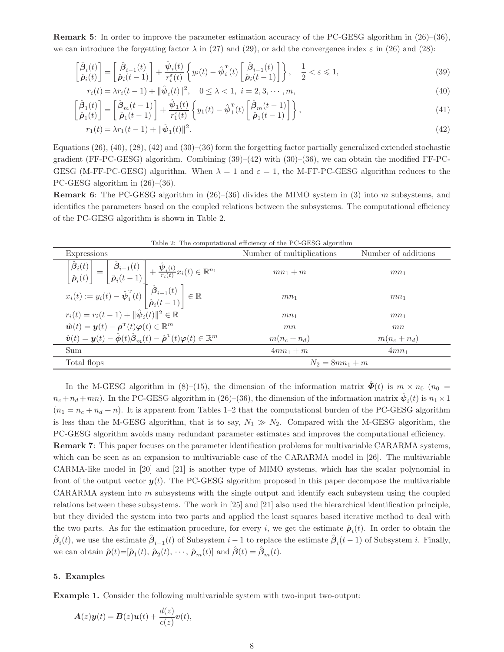**Remark 5:** In order to improve the parameter estimation accuracy of the PC-GESG algorithm in  $(26)$ – $(36)$ , we can introduce the forgetting factor  $\lambda$  in (27) and (29), or add the convergence index  $\varepsilon$  in (26) and (28):

$$
\begin{bmatrix}\n\hat{\boldsymbol{\beta}}_i(t) \\
\hat{\boldsymbol{\rho}}_i(t)\n\end{bmatrix} = \begin{bmatrix}\n\hat{\boldsymbol{\beta}}_{i-1}(t) \\
\hat{\boldsymbol{\rho}}_i(t-1)\n\end{bmatrix} + \frac{\hat{\boldsymbol{\psi}}_i(t)}{r_i^{\varepsilon}(t)} \left\{ y_i(t) - \hat{\boldsymbol{\psi}}_i^{\mathrm{T}}(t) \begin{bmatrix} \hat{\boldsymbol{\beta}}_{i-1}(t) \\
\hat{\boldsymbol{\rho}}_i(t-1) \end{bmatrix} \right\}, \quad \frac{1}{2} < \varepsilon \le 1,
$$
\n(39)

$$
r_i(t) = \lambda r_i(t-1) + \|\hat{\boldsymbol{\psi}}_i(t)\|^2, \quad 0 \le \lambda < 1, \ i = 2, 3, \cdots, m,
$$
\n
$$
(40)
$$

$$
\begin{bmatrix}\n\hat{\boldsymbol{\beta}}_1(t) \\
\hat{\boldsymbol{\rho}}_1(t)\n\end{bmatrix} = \begin{bmatrix}\n\hat{\boldsymbol{\beta}}_m(t-1) \\
\hat{\boldsymbol{\rho}}_1(t-1)\n\end{bmatrix} + \frac{\hat{\boldsymbol{\psi}}_1(t)}{r_1^{\epsilon}(t)} \left\{ y_1(t) - \hat{\boldsymbol{\psi}}_1^{\tau}(t) \begin{bmatrix} \hat{\boldsymbol{\beta}}_m(t-1) \\
\hat{\boldsymbol{\rho}}_1(t-1)\n\end{bmatrix} \right\},
$$
\n(41)

$$
r_1(t) = \lambda r_1(t-1) + \|\hat{\psi}_1(t)\|^2. \tag{42}
$$

Equations  $(26)$ ,  $(40)$ ,  $(28)$ ,  $(42)$  and  $(30)$ – $(36)$  form the forgetting factor partially generalized extended stochastic gradient (FF-PC-GESG) algorithm. Combining  $(39)-(42)$  with  $(30)-(36)$ , we can obtain the modified FF-PC-GESG (M-FF-PC-GESG) algorithm. When  $\lambda = 1$  and  $\varepsilon = 1$ , the M-FF-PC-GESG algorithm reduces to the PC-GESG algorithm in (26)–(36).

**Remark 6:** The PC-GESG algorithm in  $(26)$ – $(36)$  divides the MIMO system in  $(3)$  into m subsystems, and identifies the parameters based on the coupled relations between the subsystems. The computational efficiency of the PC-GESG algorithm is shown in Table 2.

|                                                                                                                                                                                                                                                                                                                                                                                                                                                                                                                     | Table 2: The computational efficiency of the PC-GESG algorithm |                     |  |  |  |  |  |  |  |  |
|---------------------------------------------------------------------------------------------------------------------------------------------------------------------------------------------------------------------------------------------------------------------------------------------------------------------------------------------------------------------------------------------------------------------------------------------------------------------------------------------------------------------|----------------------------------------------------------------|---------------------|--|--|--|--|--|--|--|--|
| Expressions                                                                                                                                                                                                                                                                                                                                                                                                                                                                                                         | Number of multiplications                                      | Number of additions |  |  |  |  |  |  |  |  |
| $\begin{aligned} \begin{bmatrix} \hat{\boldsymbol{\beta}}_i(t) \\ \hat{\boldsymbol{\rho}}_i(t) \end{bmatrix} &= \begin{bmatrix} \hat{\boldsymbol{\beta}}_{i-1}(t) \\ \hat{\boldsymbol{\rho}}_i(t-1) \end{bmatrix} + \frac{\hat{\boldsymbol{\psi}}_i(t)}{r_i(t)} x_i(t) \in \mathbb{R}^{n_1} \\ x_i(t) &:= y_i(t) - \hat{\boldsymbol{\psi}}_i^{\mathrm{T}}(t) \begin{bmatrix} \hat{\boldsymbol{\beta}}_{i-1}(t) \\ \hat{\boldsymbol{\rho}}_i(t-1) \end{bmatrix} \in \mathbb{R} \\ r_i(t) &= r_i(t-1) + \ \hat{\bold$ | $mn_1 + m$                                                     | $mn_1$              |  |  |  |  |  |  |  |  |
|                                                                                                                                                                                                                                                                                                                                                                                                                                                                                                                     | $mn_1$                                                         | $mn_1$              |  |  |  |  |  |  |  |  |
|                                                                                                                                                                                                                                                                                                                                                                                                                                                                                                                     | $mn_1$                                                         | $mn_1$              |  |  |  |  |  |  |  |  |
| $\hat{\boldsymbol{w}}(t) = \boldsymbol{y}(t) - \boldsymbol{\rho}^{T}(t)\boldsymbol{\varphi}(t) \in \mathbb{R}^{m}$                                                                                                                                                                                                                                                                                                                                                                                                  | mn                                                             | mn                  |  |  |  |  |  |  |  |  |
| $\hat{\boldsymbol{v}}(t) = \boldsymbol{y}(t) - \hat{\boldsymbol{\phi}}(t)\hat{\boldsymbol{\beta}}_m(t) - \hat{\boldsymbol{\rho}}^{\mathrm{T}}(t)\boldsymbol{\varphi}(t) \in \mathbb{R}^m$                                                                                                                                                                                                                                                                                                                           | $m(n_c+n_d)$                                                   | $m(n_c+n_d)$        |  |  |  |  |  |  |  |  |
| Sum                                                                                                                                                                                                                                                                                                                                                                                                                                                                                                                 | $4mn_1+m$                                                      | $4mn_1$             |  |  |  |  |  |  |  |  |
| Total flops                                                                                                                                                                                                                                                                                                                                                                                                                                                                                                         | $N_2 = 8mn_1 + m$                                              |                     |  |  |  |  |  |  |  |  |
|                                                                                                                                                                                                                                                                                                                                                                                                                                                                                                                     |                                                                |                     |  |  |  |  |  |  |  |  |

In the M-GESG algorithm in (8)–(15), the dimension of the information matrix  $\hat{\Phi}(t)$  is  $m \times n_0$  ( $n_0 =$  $n_c + n_d + mn$ ). In the PC-GESG algorithm in (26)–(36), the dimension of the information matrix  $\hat{\psi}_i(t)$  is  $n_1 \times 1$  $(n_1 = n_c + n_d + n)$ . It is apparent from Tables 1–2 that the computational burden of the PC-GESG algorithm is less than the M-GESG algorithm, that is to say,  $N_1 \gg N_2$ . Compared with the M-GESG algorithm, the PC-GESG algorithm avoids many redundant parameter estimates and improves the computational efficiency. **Remark 7:** This paper focuses on the parameter identification problems for multivariable CARARMA systems, which can be seen as an expansion to multivariable case of the CARARMA model in [26]. The multivariable CARMA-like model in [20] and [21] is another type of MIMO systems, which has the scalar polynomial in front of the output vector  $y(t)$ . The PC-GESG algorithm proposed in this paper decompose the multivariable  $CARARMA$  system into  $m$  subsystems with the single output and identify each subsystem using the coupled relations between these subsystems. The work in [25] and [21] also used the hierarchical identification principle, but they divided the system into two parts and applied the least squares based iterative method to deal with the two parts. As for the estimation procedure, for every i, we get the estimate  $\hat{\rho}_i(t)$ . In order to obtain the  $\hat{\boldsymbol{\beta}}_i(t)$ , we use the estimate  $\hat{\boldsymbol{\beta}}_{i-1}(t)$  of Subsystem  $i-1$  to replace the estimate  $\hat{\boldsymbol{\beta}}_i(t-1)$  of Subsystem i. Finally, we can obtain  $\hat{\boldsymbol{\rho}}(t) = [\hat{\boldsymbol{\rho}}_1(t), \hat{\boldsymbol{\rho}}_2(t), \cdots, \hat{\boldsymbol{\rho}}_m(t)]$  and  $\hat{\boldsymbol{\beta}}(t) = \hat{\boldsymbol{\beta}}_m(t)$ .

#### 5. Examples

Example 1. Consider the following multivariable system with two-input two-output:

$$
\boldsymbol{A}(z)\boldsymbol{y}(t) = \boldsymbol{B}(z)\boldsymbol{u}(t) + \frac{d(z)}{c(z)}\boldsymbol{v}(t),
$$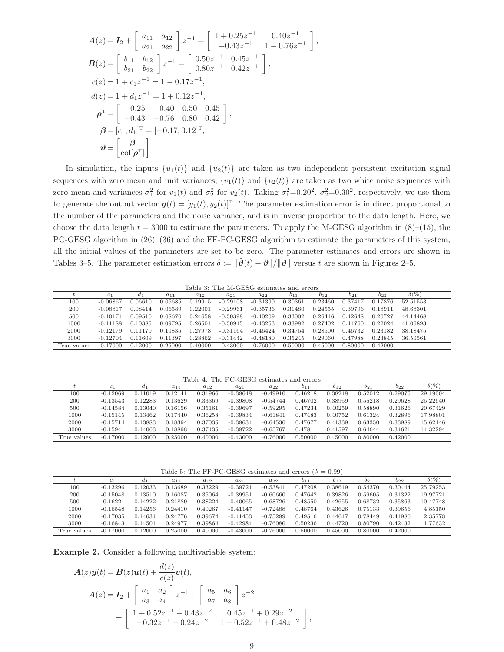$$
A(z) = I_2 + \begin{bmatrix} a_{11} & a_{12} \\ a_{21} & a_{22} \end{bmatrix} z^{-1} = \begin{bmatrix} 1 + 0.25z^{-1} & 0.40z^{-1} \\ -0.43z^{-1} & 1 - 0.76z^{-1} \end{bmatrix},
$$
  
\n
$$
B(z) = \begin{bmatrix} b_{11} & b_{12} \\ b_{21} & b_{22} \end{bmatrix} z^{-1} = \begin{bmatrix} 0.50z^{-1} & 0.45z^{-1} \\ 0.80z^{-1} & 0.42z^{-1} \end{bmatrix},
$$
  
\n
$$
c(z) = 1 + c_1 z^{-1} = 1 - 0.17z^{-1},
$$
  
\n
$$
d(z) = 1 + d_1 z^{-1} = 1 + 0.12z^{-1},
$$
  
\n
$$
\rho^{\mathrm{T}} = \begin{bmatrix} 0.25 & 0.40 & 0.50 & 0.45 \\ -0.43 & -0.76 & 0.80 & 0.42 \end{bmatrix},
$$
  
\n
$$
\beta = [c_1, d_1]^{\mathrm{T}} = [-0.17, 0.12]^{\mathrm{T}},
$$
  
\n
$$
\vartheta = \begin{bmatrix} \beta \\ \mathrm{col}[\rho^{\mathrm{T}}] \end{bmatrix}.
$$

In simulation, the inputs  $\{u_1(t)\}$  and  $\{u_2(t)\}$  are taken as two independent persistent excitation signal sequences with zero mean and unit variances,  $\{v_1(t)\}\$  and  $\{v_2(t)\}\$  are taken as two white noise sequences with zero mean and variances  $\sigma_1^2$  for  $v_1(t)$  and  $\sigma_2^2$  for  $v_2(t)$ . Taking  $\sigma_1^2=0.20^2$ ,  $\sigma_2^2=0.30^2$ , respectively, we use them to generate the output vector  $y(t) = [y_1(t), y_2(t)]^T$ . The parameter estimation error is in direct proportional to the number of the parameters and the noise variance, and is in inverse proportion to the data length. Here, we choose the data length  $t = 3000$  to estimate the parameters. To apply the M-GESG algorithm in  $(8)-(15)$ , the PC-GESG algorithm in (26)–(36) and the FF-PC-GESG algorithm to estimate the parameters of this system, all the initial values of the parameters are set to be zero. The parameter estimates and errors are shown in Tables 3–5. The parameter estimation errors  $\delta := ||\hat{\boldsymbol{\vartheta}}(t) - \boldsymbol{\vartheta}||/||\boldsymbol{\vartheta}||$  versus t are shown in Figures 2–5.

Table 3: The M-GESG estimates and errors

|             | C <sub>1</sub> | a <sub>1</sub> | $a_{11}$ | $a_{12}$ | $a_{21}$   | $a_{22}$   | $D_11$  | $b_{12}$ | $b_{21}$ | $b_{22}$ | $\delta(\%)$ |
|-------------|----------------|----------------|----------|----------|------------|------------|---------|----------|----------|----------|--------------|
| 100         | $-0.06867$     | 0.06610        | 0.05685  | 0.19915  | $-0.29108$ | $-0.31399$ | 0.30361 | 0.23460  | 0.37417  | 0.17876  | 52.51553     |
| 200         | $-0.08817$     | 0.08414        | 0.06589  | 0.22001  | $-0.29961$ | $-0.35736$ | 0.31480 | 0.24555  | 0.39796  | 0.18911  | 48.68301     |
| 500         | $-0.10174$     | 0.09510        | 0.08670  | 0.24658  | $-0.30398$ | $-0.40209$ | 0.33002 | 0.26416  | 0.42648  | 0.20727  | 44.14468     |
| 1000        | $-0.11188$     | 0.10385        | 0.09795  | 0.26501  | $-0.30945$ | $-0.43253$ | 0.33982 | 0.27402  | 0.44760  | 0.22024  | 41.06893     |
| 2000        | $-0.12179$     | 0.11170        | 0.10835  | 0.27978  | $-0.31164$ | $-0.46424$ | 0.34754 | 0.28500  | 0.46732  | 0.23182  | 38.18475     |
| 3000        | $-0.12704$     | 0.11609        | 0.11397  | 0.28862  | $-0.31442$ | $-0.48180$ | 0.35245 | 0.29060  | 0.47988  | 0.23845  | 36.50561     |
| True values | $-0.17000$     | 0.12000        | 0.25000  | 0.40000  | $-0.43000$ | $-0.76000$ | 0.50000 | 0.45000  | 0.80000  | 0.42000  |              |

Table 4: The PC-GESG estimates and errors

|             | C <sub>1</sub> | $d_1$   | $a_{11}$ | $a_{12}$ | $a_{21}$   | $a_{22}$   | $b_{11}$ | $b_{12}$ | $b_{21}$ | $b_{22}$ | $\delta(\%)$ |
|-------------|----------------|---------|----------|----------|------------|------------|----------|----------|----------|----------|--------------|
| 100         | $-0.12069$     | 0.11019 | 0.12141  | 0.31966  | $-0.39648$ | $-0.49910$ | 0.46218  | 0.38248  | 0.52012  | 0.29075  | 29.19004     |
| 200         | $-0.13543$     | 0.12283 | 0.13629  | 0.33369  | $-0.39808$ | $-0.54744$ | 0.46702  | 0.38959  | 0.55218  | 0.29628  | 25.22640     |
| 500         | $-0.14584$     | 0.13040 | 0.16156  | 0.35161  | $-0.39697$ | $-0.59295$ | 0.47234  | 0.40259  | 0.58890  | 0.31626  | 20.67429     |
| 1000        | $-0.15145$     | 0.13462 | 0.17440  | 0.36258  | $-0.39834$ | $-0.61841$ | 0.47483  | 0.40752  | 0.61324  | 0.32896  | 17.98801     |
| 2000        | $-0.15714$     | 0.13883 | 0.18394  | 0.37035  | $-0.39634$ | $-0.64536$ | 0.47677  | 0.41339  | 0.63350  | 0.33989  | 15.62146     |
| 3000        | $-0.15941$     | 0.14063 | 0.18898  | 0.37435  | $-0.39722$ | $-0.65767$ | 0.47811  | 0.41597  | 0.64644  | 0.34621  | 14.32294     |
| True values | $-0.17000$     | 0.12000 | 0.25000  | 0.40000  | $-0.43000$ | $-0.76000$ | 0.50000  | 0.45000  | 0.80000  | 0.42000  |              |

Table 5: The FF-PC-GESG estimates and errors ( $\lambda = 0.99$ )

|             | c <sub>1</sub> | $a_1$   | $a_{11}$ | $a_{12}$ | $a_{21}$   | $a_{22}$   | $b_{11}$ | $b_{12}$ | $b_{21}$ | $b_{22}$ | $\delta(\%)$ |
|-------------|----------------|---------|----------|----------|------------|------------|----------|----------|----------|----------|--------------|
| 100         | $-0.13296$     | 0.12033 | 0.13689  | 0.33229  | $-0.39721$ | $-0.53841$ | 0.47208  | 0.38619  | 0.54370  | 0.30444  | 25.79253     |
| 200         | $-0.15048$     | 0.13510 | 0.16087  | 0.35064  | $-0.39951$ | $-0.60660$ | 0.47642  | 0.39826  | 0.59605  | 0.31322  | 19.97721     |
| 500         | $-0.16221$     | 0.14222 | 0.21880  | 0.38224  | $-0.40065$ | $-0.68726$ | 0.48550  | 0.42655  | 0.68732  | 0.35863  | 10.47748     |
| 1000        | $-0.16548$     | 0.14256 | 0.24410  | 0.40267  | $-0.41147$ | $-0.72488$ | 0.48764  | 0.43626  | 0.75133  | 0.39656  | 4.85150      |
| 2000        | $-0.17035$     | 0.14634 | 0.24776  | 0.39674  | $-0.41453$ | $-0.75299$ | 0.49516  | 0.44617  | 0.78449  | 0.41986  | 2.35778      |
| 3000        | $-0.16843$     | 0.14501 | 0.24977  | 0.39864  | $-0.42984$ | $-0.76080$ | 0.50236  | 0.44720  | 0.80790  | 0.42432  | 1.77632      |
| True values | $-0.17000$     | 0.12000 | 0.25000  | 0.40000  | $-0.43000$ | $-0.76000$ | 0.50000  | 0.45000  | 0.80000  | 0.42000  |              |

Example 2. Consider a following multivariable system:

$$
A(z)y(t) = B(z)u(t) + \frac{d(z)}{c(z)}v(t),
$$
  
\n
$$
A(z) = I_2 + \begin{bmatrix} a_1 & a_2 \\ a_3 & a_4 \end{bmatrix} z^{-1} + \begin{bmatrix} a_5 & a_6 \\ a_7 & a_8 \end{bmatrix} z^{-2}
$$
  
\n
$$
= \begin{bmatrix} 1 + 0.52z^{-1} - 0.43z^{-2} & 0.45z^{-1} + 0.29z^{-2} \\ -0.32z^{-1} - 0.24z^{-2} & 1 - 0.52z^{-1} + 0.48z^{-2} \end{bmatrix},
$$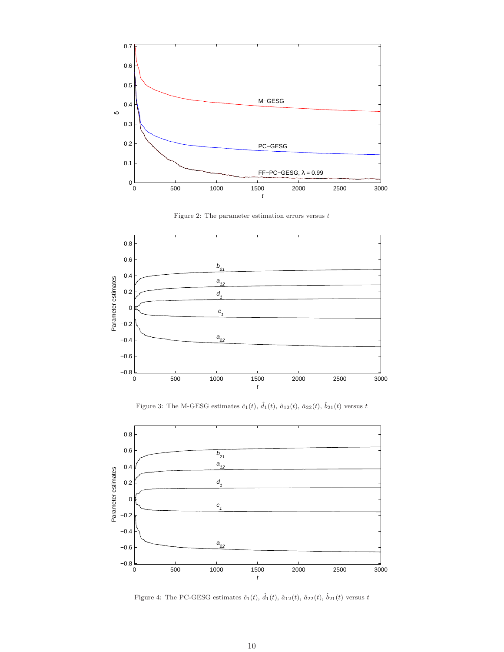

Figure 2: The parameter estimation errors versus  $t$ 



Figure 3: The M-GESG estimates  $\hat{c}_1(t)$ ,  $\hat{d}_1(t)$ ,  $\hat{a}_{12}(t)$ ,  $\hat{a}_{22}(t)$ ,  $\hat{b}_{21}(t)$  versus t



Figure 4: The PC-GESG estimates  $\hat{c}_1(t)$ ,  $\hat{d}_1(t)$ ,  $\hat{a}_{12}(t)$ ,  $\hat{a}_{22}(t)$ ,  $\hat{b}_{21}(t)$  versus t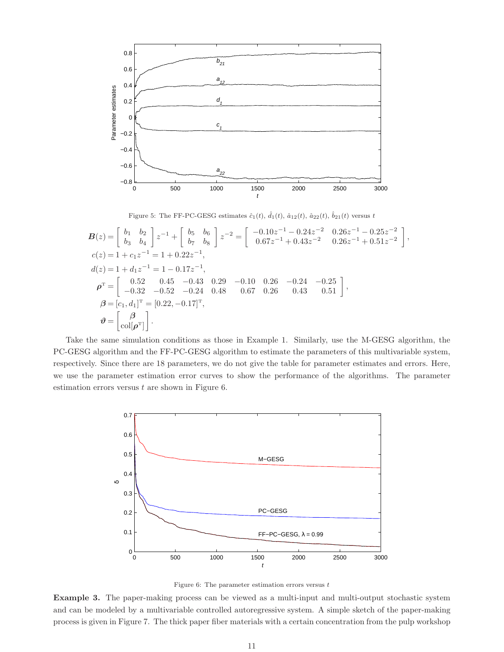

Figure 5: The FF-PC-GESG estimates  $\hat{c}_1(t)$ ,  $\hat{d}_1(t)$ ,  $\hat{a}_{12}(t)$ ,  $\hat{a}_{22}(t)$ ,  $\hat{b}_{21}(t)$  versus t

$$
\mathbf{B}(z) = \begin{bmatrix} b_1 & b_2 \\ b_3 & b_4 \end{bmatrix} z^{-1} + \begin{bmatrix} b_5 & b_6 \\ b_7 & b_8 \end{bmatrix} z^{-2} = \begin{bmatrix} -0.10z^{-1} - 0.24z^{-2} & 0.26z^{-1} - 0.25z^{-2} \\ 0.67z^{-1} + 0.43z^{-2} & 0.26z^{-1} + 0.51z^{-2} \end{bmatrix},
$$
  
\n
$$
c(z) = 1 + c_1 z^{-1} = 1 + 0.22z^{-1},
$$
  
\n
$$
d(z) = 1 + d_1 z^{-1} = 1 - 0.17z^{-1},
$$
  
\n
$$
\boldsymbol{\rho}^{\mathrm{T}} = \begin{bmatrix} 0.52 & 0.45 & -0.43 & 0.29 & -0.10 & 0.26 & -0.24 & -0.25 \\ -0.32 & -0.52 & -0.24 & 0.48 & 0.67 & 0.26 & 0.43 & 0.51 \end{bmatrix},
$$
  
\n
$$
\boldsymbol{\beta} = [c_1, d_1]^{\mathrm{T}} = [0.22, -0.17]^{\mathrm{T}},
$$
  
\n
$$
\boldsymbol{\vartheta} = \begin{bmatrix} \boldsymbol{\beta} \\ \text{col}[\boldsymbol{\rho}^{\mathrm{T}}] \end{bmatrix}.
$$

Take the same simulation conditions as those in Example 1. Similarly, use the M-GESG algorithm, the PC-GESG algorithm and the FF-PC-GESG algorithm to estimate the parameters of this multivariable system, respectively. Since there are 18 parameters, we do not give the table for parameter estimates and errors. Here, we use the parameter estimation error curves to show the performance of the algorithms. The parameter estimation errors versus  $t$  are shown in Figure 6.



Figure 6: The parameter estimation errors versus  $t$ 

Example 3. The paper-making process can be viewed as a multi-input and multi-output stochastic system and can be modeled by a multivariable controlled autoregressive system. A simple sketch of the paper-making process is given in Figure 7. The thick paper fiber materials with a certain concentration from the pulp workshop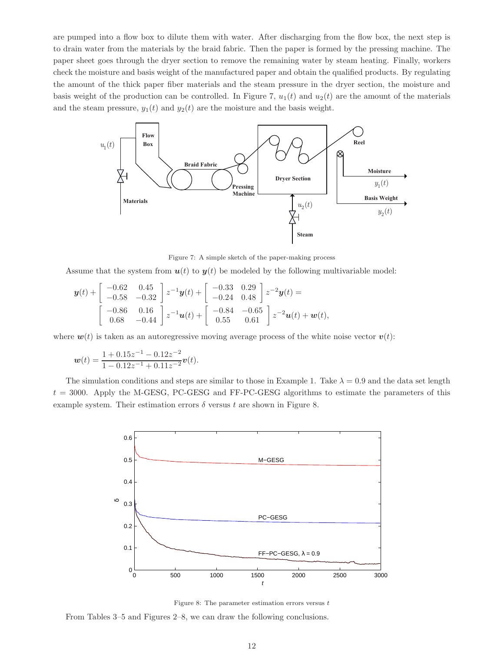are pumped into a flow box to dilute them with water. After discharging from the flow box, the next step is to drain water from the materials by the braid fabric. Then the paper is formed by the pressing machine. The paper sheet goes through the dryer section to remove the remaining water by steam heating. Finally, workers check the moisture and basis weight of the manufactured paper and obtain the qualified products. By regulating the amount of the thick paper fiber materials and the steam pressure in the dryer section, the moisture and basis weight of the production can be controlled. In Figure 7,  $u_1(t)$  and  $u_2(t)$  are the amount of the materials and the steam pressure,  $y_1(t)$  and  $y_2(t)$  are the moisture and the basis weight.



Figure 7: A simple sketch of the paper-making process

Assume that the system from  $u(t)$  to  $y(t)$  be modeled by the following multivariable model:

$$
\mathbf{y}(t) + \begin{bmatrix} -0.62 & 0.45 \\ -0.58 & -0.32 \end{bmatrix} z^{-1} \mathbf{y}(t) + \begin{bmatrix} -0.33 & 0.29 \\ -0.24 & 0.48 \end{bmatrix} z^{-2} \mathbf{y}(t) = \begin{bmatrix} -0.86 & 0.16 \\ 0.68 & -0.44 \end{bmatrix} z^{-1} \mathbf{u}(t) + \begin{bmatrix} -0.84 & -0.65 \\ 0.55 & 0.61 \end{bmatrix} z^{-2} \mathbf{u}(t) + \mathbf{w}(t),
$$

where  $w(t)$  is taken as an autoregressive moving average process of the white noise vector  $v(t)$ :

$$
\boldsymbol{w}(t)=\frac{1+0.15z^{-1}-0.12z^{-2}}{1-0.12z^{-1}+0.11z^{-2}}\boldsymbol{v}(t).
$$

The simulation conditions and steps are similar to those in Example 1. Take  $\lambda = 0.9$  and the data set length  $t = 3000$ . Apply the M-GESG, PC-GESG and FF-PC-GESG algorithms to estimate the parameters of this example system. Their estimation errors  $\delta$  versus t are shown in Figure 8.



Figure 8: The parameter estimation errors versus  $t$ 

From Tables 3–5 and Figures 2–8, we can draw the following conclusions.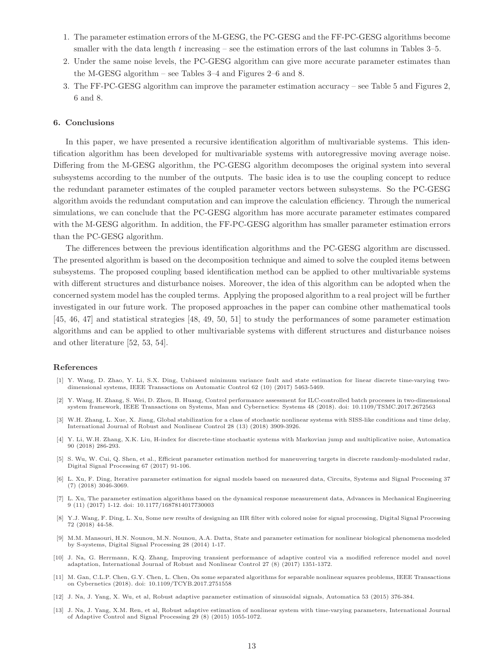- 1. The parameter estimation errors of the M-GESG, the PC-GESG and the FF-PC-GESG algorithms become smaller with the data length  $t$  increasing – see the estimation errors of the last columns in Tables  $3-5$ .
- 2. Under the same noise levels, the PC-GESG algorithm can give more accurate parameter estimates than the M-GESG algorithm – see Tables 3–4 and Figures 2–6 and 8.
- 3. The FF-PC-GESG algorithm can improve the parameter estimation accuracy see Table 5 and Figures 2, 6 and 8.

### 6. Conclusions

In this paper, we have presented a recursive identification algorithm of multivariable systems. This identification algorithm has been developed for multivariable systems with autoregressive moving average noise. Differing from the M-GESG algorithm, the PC-GESG algorithm decomposes the original system into several subsystems according to the number of the outputs. The basic idea is to use the coupling concept to reduce the redundant parameter estimates of the coupled parameter vectors between subsystems. So the PC-GESG algorithm avoids the redundant computation and can improve the calculation efficiency. Through the numerical simulations, we can conclude that the PC-GESG algorithm has more accurate parameter estimates compared with the M-GESG algorithm. In addition, the FF-PC-GESG algorithm has smaller parameter estimation errors than the PC-GESG algorithm.

The differences between the previous identification algorithms and the PC-GESG algorithm are discussed. The presented algorithm is based on the decomposition technique and aimed to solve the coupled items between subsystems. The proposed coupling based identification method can be applied to other multivariable systems with different structures and disturbance noises. Moreover, the idea of this algorithm can be adopted when the concerned system model has the coupled terms. Applying the proposed algorithm to a real project will be further investigated in our future work. The proposed approaches in the paper can combine other mathematical tools [45, 46, 47] and statistical strategies [48, 49, 50, 51] to study the performances of some parameter estimation algorithms and can be applied to other multivariable systems with different structures and disturbance noises and other literature [52, 53, 54].

#### References

- [1] Y. Wang, D. Zhao, Y. Li, S.X. Ding, Unbiased minimum variance fault and state estimation for linear discrete time-varying twodimensional systems, IEEE Transactions on Automatic Control 62 (10) (2017) 5463-5469.
- [2] Y. Wang, H. Zhang, S. Wei, D. Zhou, B. Huang, Control performance assessment for ILC-controlled batch processes in two-dimensional system framework, IEEE Transactions on Systems, Man and Cybernetics: Systems 48 (2018). doi: 10.1109/TSMC.2017.2672563
- [3] W.H. Zhang, L. Xue, X. Jiang, Global stabilization for a class of stochastic nonlinear systems with SISS-like conditions and time delay, International Journal of Robust and Nonlinear Control 28 (13) (2018) 3909-3926.
- [4] Y. Li, W.H. Zhang, X.K. Liu, H-index for discrete-time stochastic systems with Markovian jump and multiplicative noise, Automatica 90 (2018) 286-293.
- [5] S. Wu, W. Cui, Q. Shen, et al., Efficient parameter estimation method for maneuvering targets in discrete randomly-modulated radar, Digital Signal Processing 67 (2017) 91-106.
- [6] L. Xu, F. Ding, Iterative parameter estimation for signal models based on measured data, Circuits, Systems and Signal Processing 37 (7) (2018) 3046-3069.
- [7] L. Xu, The parameter estimation algorithms based on the dynamical response measurement data, Advances in Mechanical Engineering 9 (11) (2017) 1-12. doi: 10.1177/1687814017730003
- [8] Y.J. Wang, F. Ding, L. Xu, Some new results of designing an IIR filter with colored noise for signal processing, Digital Signal Processing 72 (2018) 44-58.
- [9] M.M. Mansouri, H.N. Nounou, M.N. Nounou, A.A. Datta, State and parameter estimation for nonlinear biological phenomena modeled by S-systems, Digital Signal Processing 28 (2014) 1-17.
- [10] J. Na, G. Herrmann, K.Q. Zhang, Improving transient performance of adaptive control via a modified reference model and novel adaptation, International Journal of Robust and Nonlinear Control 27 (8) (2017) 1351-1372.
- [11] M. Gan, C.L.P. Chen, G.Y. Chen, L. Chen, On some separated algorithms for separable nonlinear squares problems, IEEE Transactions on Cybernetics (2018). doi: 10.1109/TCYB.2017.2751558
- [12] J. Na, J. Yang, X. Wu, et al, Robust adaptive parameter estimation of sinusoidal signals, Automatica 53 (2015) 376-384.
- [13] J. Na, J. Yang, X.M. Ren, et al, Robust adaptive estimation of nonlinear system with time-varying parameters, International Journal of Adaptive Control and Signal Processing 29 (8) (2015) 1055-1072.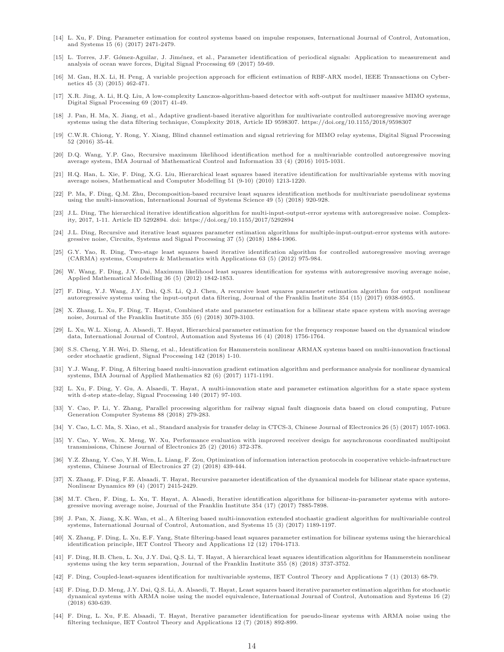- [14] L. Xu, F. Ding. Parameter estimation for control systems based on impulse responses, International Journal of Control, Automation, and Systems 15 (6) (2017) 2471-2479.
- [15] L. Torres, J.F. Gómez-Aguilar, J. Jiménez, et al., Parameter identification of periodical signals: Application to measurement and analysis of ocean wave forces, Digital Signal Processing 69 (2017) 59-69.
- [16] M. Gan, H.X. Li, H. Peng, A variable projection approach for efficient estimation of RBF-ARX model, IEEE Transactions on Cybernetics 45 (3) (2015) 462-471.
- [17] X.R. Jing, A. Li, H.Q. Liu, A low-complexity Lanczos-algorithm-based detector with soft-output for multiuser massive MIMO systems, Digital Signal Processing 69 (2017) 41-49.
- [18] J. Pan, H. Ma, X. Jiang, et al., Adaptive gradient-based iterative algorithm for multivariate controlled autoregressive moving average systems using the data filtering technique, Complexity 2018, Article ID 9598307. https://doi.org/10.1155/2018/9598307
- [19] C.W.R. Chiong, Y. Rong, Y. Xiang, Blind channel estimation and signal retrieving for MIMO relay systems, Digital Signal Processing 52 (2016) 35-44.
- [20] D.Q. Wang, Y.P. Gao, Recursive maximum likelihood identification method for a multivariable controlled autoregressive moving average system, IMA Journal of Mathematical Control and Information 33 (4) (2016) 1015-1031.
- [21] H.Q. Han, L. Xie, F. Ding, X.G. Liu, Hierarchical least squares based iterative identification for multivariable systems with moving average noises, Mathematical and Computer Modelling 51 (9-10) (2010) 1213-1220.
- [22] P. Ma, F. Ding, Q.M. Zhu, Decomposition-based recursive least squares identification methods for multivariate pseudolinear systems using the multi-innovation, International Journal of Systems Science 49 (5) (2018) 920-928.
- [23] J.L. Ding, The hierarchical iterative identification algorithm for multi-input-output-error systems with autoregressive noise. Complexity, 2017, 1-11. Article ID 5292894. doi: https://doi.org/10.1155/2017/5292894
- [24] J.L. Ding, Recursive and iterative least squares parameter estimation algorithms for multiple-input-output-error systems with autoregressive noise, Circuits, Systems and Signal Processing 37 (5) (2018) 1884-1906.
- [25] G.Y. Yao, R. Ding, Two-stage least squares based iterative identification algorithm for controlled autoregressive moving average (CARMA) systems, Computers & Mathematics with Applications 63 (5) (2012) 975-984.
- [26] W. Wang, F. Ding, J.Y. Dai, Maximum likelihood least squares identification for systems with autoregressive moving average noise, Applied Mathematical Modelling 36 (5) (2012) 1842-1853.
- [27] F. Ding, Y.J. Wang, J.Y. Dai, Q.S. Li, Q.J. Chen, A recursive least squares parameter estimation algorithm for output nonlinear autoregressive systems using the input-output data filtering, Journal of the Franklin Institute 354 (15) (2017) 6938-6955.
- [28] X. Zhang, L. Xu, F. Ding, T. Hayat, Combined state and parameter estimation for a bilinear state space system with moving average noise, Journal of the Franklin Institute 355 (6) (2018) 3079-3103.
- [29] L. Xu, W.L. Xiong, A. Alsaedi, T. Hayat, Hierarchical parameter estimation for the frequency response based on the dynamical window data, International Journal of Control, Automation and Systems 16 (4) (2018) 1756-1764.
- [30] S.S. Cheng, Y.H. Wei, D. Sheng, et al., Identification for Hammerstein nonlinear ARMAX systems based on multi-innovation fractional order stochastic gradient, Signal Processing 142 (2018) 1-10.
- [31] Y.J. Wang, F. Ding, A filtering based multi-innovation gradient estimation algorithm and performance analysis for nonlinear dynamical systems, IMA Journal of Applied Mathematics 82 (6) (2017) 1171-1191.
- [32] L. Xu, F. Ding, Y. Gu, A. Alsaedi, T. Hayat, A multi-innovation state and parameter estimation algorithm for a state space system with d-step state-delay, Signal Processing 140 (2017) 97-103.
- [33] Y. Cao, P. Li, Y. Zhang, Parallel processing algorithm for railway signal fault diagnosis data based on cloud computing, Future Generation Computer Systems 88 (2018) 279-283.
- [34] Y. Cao, L.C. Ma, S. Xiao, et al., Standard analysis for transfer delay in CTCS-3, Chinese Journal of Electronics 26 (5) (2017) 1057-1063.
- [35] Y. Cao, Y. Wen, X. Meng, W. Xu, Performance evaluation with improved receiver design for asynchronous coordinated multipoint transmissions, Chinese Journal of Electronics 25 (2) (2016) 372-378.
- [36] Y.Z. Zhang, Y. Cao, Y.H. Wen, L. Liang, F. Zou, Optimization of information interaction protocols in cooperative vehicle-infrastructure systems, Chinese Journal of Electronics 27 (2) (2018) 439-444.
- [37] X. Zhang, F. Ding, F.E. Alsaadi, T. Hayat, Recursive parameter identification of the dynamical models for bilinear state space systems, Nonlinear Dynamics 89 (4) (2017) 2415-2429.
- [38] M.T. Chen, F. Ding, L. Xu, T. Hayat, A. Alsaedi, Iterative identification algorithms for bilinear-in-parameter systems with autoregressive moving average noise, Journal of the Franklin Institute 354 (17) (2017) 7885-7898.
- [39] J. Pan, X. Jiang, X.K. Wan, et al., A filtering based multi-innovation extended stochastic gradient algorithm for multivariable control systems, International Journal of Control, Automation, and Systems 15 (3) (2017) 1189-1197.
- [40] X. Zhang, F. Ding, L. Xu, E.F. Yang, State filtering-based least squares parameter estimation for bilinear systems using the hierarchical identification principle, IET Control Theory and Applications 12 (12) 1704-1713.
- [41] F. Ding, H.B. Chen, L. Xu, J.Y. Dai, Q.S. Li, T. Hayat, A hierarchical least squares identification algorithm for Hammerstein nonlinear systems using the key term separation, Journal of the Franklin Institute 355 (8) (2018) 3737-3752.
- [42] F. Ding, Coupled-least-squares identification for multivariable systems, IET Control Theory and Applications 7 (1) (2013) 68-79.
- [43] F. Ding, D.D. Meng, J.Y. Dai, Q.S. Li, A. Alsaedi, T. Hayat, Least squares based iterative parameter estimation algorithm for stochastic dynamical systems with ARMA noise using the model equivalence, International Journal of Control, Automation and Systems 16 (2) (2018) 630-639.
- [44] F. Ding, L. Xu, F.E. Alsaadi, T. Hayat, Iterative parameter identification for pseudo-linear systems with ARMA noise using the filtering technique, IET Control Theory and Applications 12 (7) (2018) 892-899.